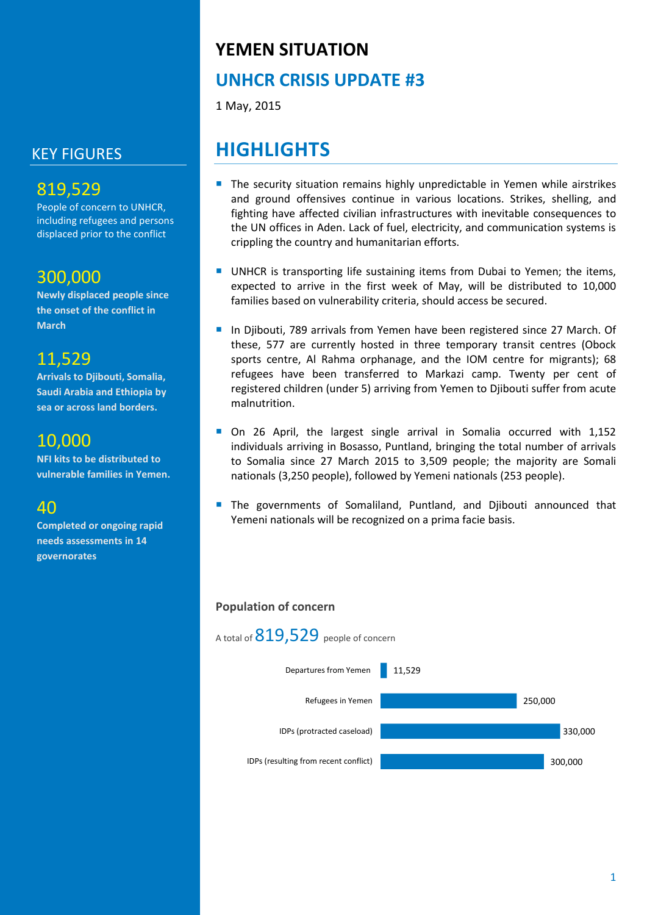## KEY FIGURES

## 819,529

People of concern to UNHCR, including refugees and persons displaced prior to the conflict

### 300,000

**Newly displaced people since the onset of the conflict in March**

## 11,529

**Arrivals to Djibouti, Somalia, Saudi Arabia and Ethiopia by sea or across land borders.**

## 10,000

**NFI kits to be distributed to vulnerable families in Yemen.**

## 40

**Completed or ongoing rapid needs assessments in 14 governorates**

## **YEMEN SITUATION**

## **UNHCR CRISIS UPDATE #3**

1 May, 2015

## **HIGHLIGHTS**

- **The security situation remains highly unpredictable in Yemen while airstrikes** and ground offensives continue in various locations. Strikes, shelling, and fighting have affected civilian infrastructures with inevitable consequences to the UN offices in Aden. Lack of fuel, electricity, and communication systems is crippling the country and humanitarian efforts.
- **UNHCR** is transporting life sustaining items from Dubai to Yemen; the items, expected to arrive in the first week of May, will be distributed to 10,000 families based on vulnerability criteria, should access be secured.
- In Djibouti, 789 arrivals from Yemen have been registered since 27 March. Of these, 577 are currently hosted in three temporary transit centres (Obock sports centre, Al Rahma orphanage, and the IOM centre for migrants); 68 refugees have been transferred to Markazi camp. Twenty per cent of registered children (under 5) arriving from Yemen to Djibouti suffer from acute malnutrition.
- On 26 April, the largest single arrival in Somalia occurred with 1,152 individuals arriving in Bosasso, Puntland, bringing the total number of arrivals to Somalia since 27 March 2015 to 3,509 people; the majority are Somali nationals (3,250 people), followed by Yemeni nationals (253 people).
- The governments of Somaliland, Puntland, and Djibouti announced that Yemeni nationals will be recognized on a prima facie basis.

#### **Population of concern**

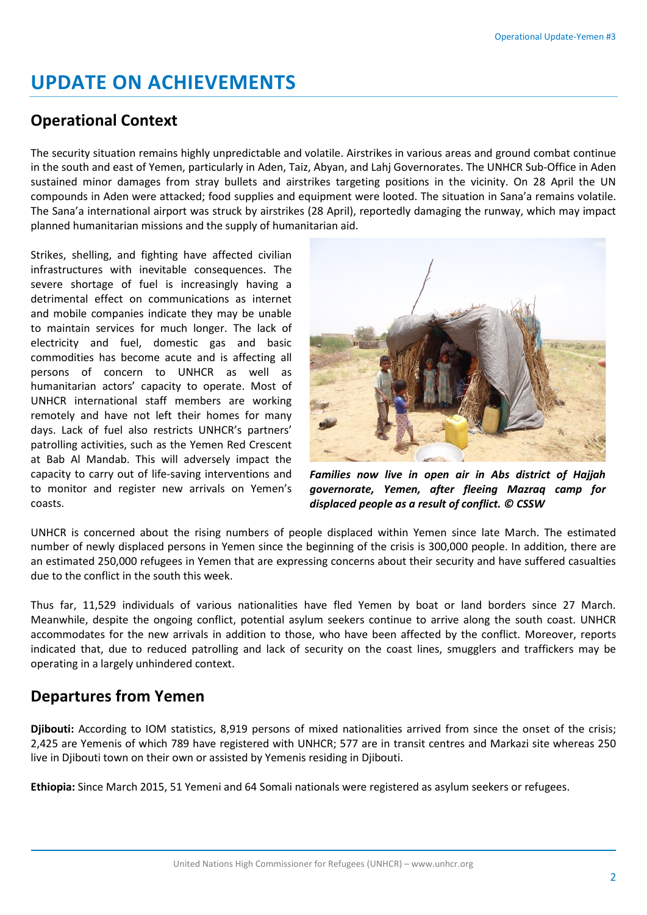## **UPDATE ON ACHIEVEMENTS**

### **Operational Context**

The security situation remains highly unpredictable and volatile. Airstrikes in various areas and ground combat continue in the south and east of Yemen, particularly in Aden, Taiz, Abyan, and Lahj Governorates. The UNHCR Sub-Office in Aden sustained minor damages from stray bullets and airstrikes targeting positions in the vicinity. On 28 April the UN compounds in Aden were attacked; food supplies and equipment were looted. The situation in Sana'a remains volatile. The Sana'a international airport was struck by airstrikes (28 April), reportedly damaging the runway, which may impact planned humanitarian missions and the supply of humanitarian aid.

Strikes, shelling, and fighting have affected civilian infrastructures with inevitable consequences. The severe shortage of fuel is increasingly having a detrimental effect on communications as internet and mobile companies indicate they may be unable to maintain services for much longer. The lack of electricity and fuel, domestic gas and basic commodities has become acute and is affecting all persons of concern to UNHCR as well as humanitarian actors' capacity to operate. Most of UNHCR international staff members are working remotely and have not left their homes for many days. Lack of fuel also restricts UNHCR's partners' patrolling activities, such as the Yemen Red Crescent at Bab Al Mandab. This will adversely impact the capacity to carry out of life-saving interventions and to monitor and register new arrivals on Yemen's coasts.



*Families now live in open air in Abs district of Hajjah governorate, Yemen, after fleeing Mazraq camp for displaced people as a result of conflict. © CSSW*

UNHCR is concerned about the rising numbers of people displaced within Yemen since late March. The estimated number of newly displaced persons in Yemen since the beginning of the crisis is 300,000 people. In addition, there are an estimated 250,000 refugees in Yemen that are expressing concerns about their security and have suffered casualties due to the conflict in the south this week.

Thus far, 11,529 individuals of various nationalities have fled Yemen by boat or land borders since 27 March. Meanwhile, despite the ongoing conflict, potential asylum seekers continue to arrive along the south coast. UNHCR accommodates for the new arrivals in addition to those, who have been affected by the conflict. Moreover, reports indicated that, due to reduced patrolling and lack of security on the coast lines, smugglers and traffickers may be operating in a largely unhindered context.

## **Departures from Yemen**

**Djibouti:** According to IOM statistics, 8,919 persons of mixed nationalities arrived from since the onset of the crisis; 2,425 are Yemenis of which 789 have registered with UNHCR; 577 are in transit centres and Markazi site whereas 250 live in Djibouti town on their own or assisted by Yemenis residing in Djibouti.

**Ethiopia:** Since March 2015, 51 Yemeni and 64 Somali nationals were registered as asylum seekers or refugees.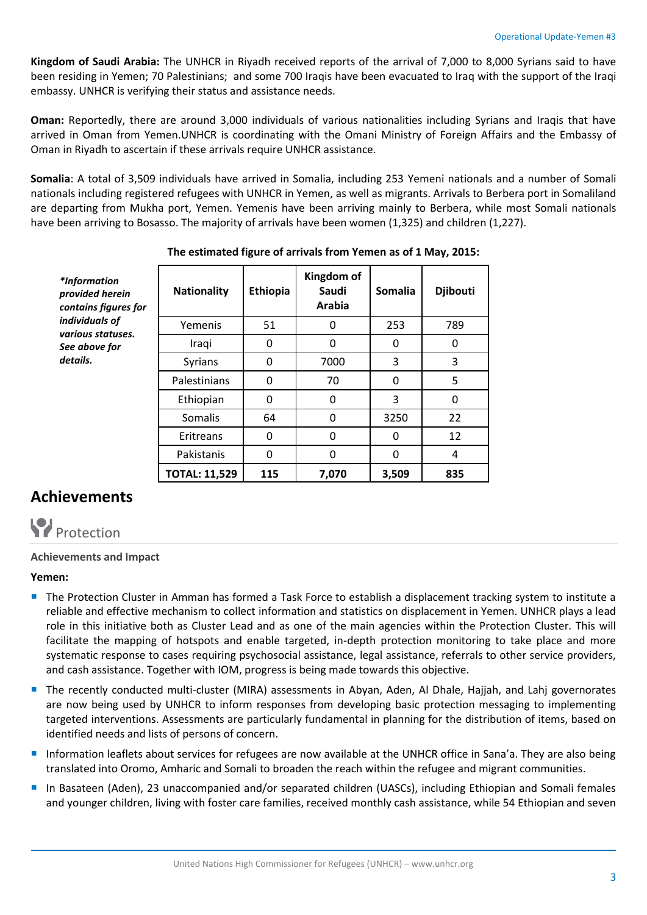**Kingdom of Saudi Arabia:** The UNHCR in Riyadh received reports of the arrival of 7,000 to 8,000 Syrians said to have been residing in Yemen; 70 Palestinians; and some 700 Iraqis have been evacuated to Iraq with the support of the Iraqi embassy. UNHCR is verifying their status and assistance needs.

**Oman:** Reportedly, there are around 3,000 individuals of various nationalities including Syrians and Iraqis that have arrived in Oman from Yemen.UNHCR is coordinating with the Omani Ministry of Foreign Affairs and the Embassy of Oman in Riyadh to ascertain if these arrivals require UNHCR assistance.

**Somalia**: A total of 3,509 individuals have arrived in Somalia, including 253 Yemeni nationals and a number of Somali nationals including registered refugees with UNHCR in Yemen, as well as migrants. Arrivals to Berbera port in Somaliland are departing from Mukha port, Yemen. Yemenis have been arriving mainly to Berbera, while most Somali nationals have been arriving to Bosasso. The majority of arrivals have been women (1,325) and children (1,227).

| *Information<br>provided herein<br>contains figures for<br>individuals of<br>various statuses.<br>See above for<br>details. | <b>Nationality</b>   | Ethiopia     | Kingdom of<br>Saudi<br>Arabia | <b>Somalia</b> | <b>Djibouti</b> |
|-----------------------------------------------------------------------------------------------------------------------------|----------------------|--------------|-------------------------------|----------------|-----------------|
|                                                                                                                             | Yemenis              | 51           | 0                             | 253            | 789             |
|                                                                                                                             | Iraqi                | 0            | $\Omega$                      | 0              | 0               |
|                                                                                                                             | <b>Syrians</b>       | 0            | 7000                          | 3              | 3               |
|                                                                                                                             | Palestinians         | 0            | 70                            | $\mathbf{0}$   | 5               |
|                                                                                                                             | Ethiopian            | 0            | 0                             | 3              | 0               |
|                                                                                                                             | Somalis              | 64           | 0                             | 3250           | 22              |
|                                                                                                                             | Eritreans            | $\mathbf{0}$ | $\Omega$                      | $\mathbf{0}$   | 12              |
|                                                                                                                             | Pakistanis           | 0            | $\Omega$                      | $\mathbf{0}$   | $\overline{4}$  |
|                                                                                                                             | <b>TOTAL: 11,529</b> | 115          | 7,070                         | 3,509          | 835             |

#### **The estimated figure of arrivals from Yemen as of 1 May, 2015:**

## **Achievements**



#### **Achievements and Impact**

#### **Yemen:**

- **The Protection Cluster in Amman has formed a Task Force to establish a displacement tracking system to institute a** reliable and effective mechanism to collect information and statistics on displacement in Yemen. UNHCR plays a lead role in this initiative both as Cluster Lead and as one of the main agencies within the Protection Cluster. This will facilitate the mapping of hotspots and enable targeted, in-depth protection monitoring to take place and more systematic response to cases requiring psychosocial assistance, legal assistance, referrals to other service providers, and cash assistance. Together with IOM, progress is being made towards this objective.
- **The recently conducted multi-cluster (MIRA) assessments in Abyan, Aden, Al Dhale, Hajjah, and Lahj governorates** are now being used by UNHCR to inform responses from developing basic protection messaging to implementing targeted interventions. Assessments are particularly fundamental in planning for the distribution of items, based on identified needs and lists of persons of concern.
- Information leaflets about services for refugees are now available at the UNHCR office in Sana'a. They are also being translated into Oromo, Amharic and Somali to broaden the reach within the refugee and migrant communities.
- In Basateen (Aden), 23 unaccompanied and/or separated children (UASCs), including Ethiopian and Somali females and younger children, living with foster care families, received monthly cash assistance, while 54 Ethiopian and seven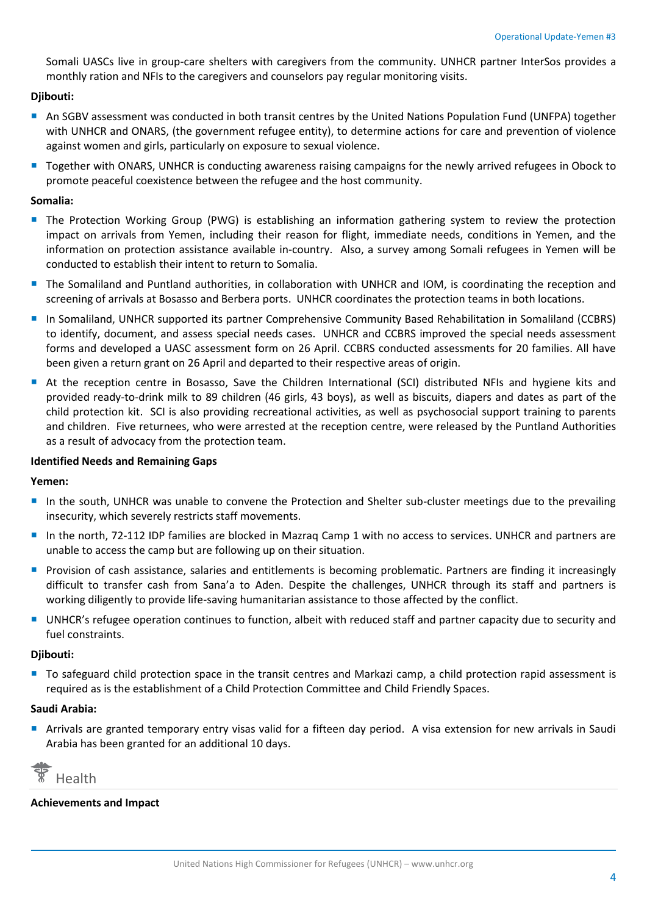Somali UASCs live in group-care shelters with caregivers from the community. UNHCR partner InterSos provides a monthly ration and NFIs to the caregivers and counselors pay regular monitoring visits.

#### **Djibouti:**

- An SGBV assessment was conducted in both transit centres by the United Nations Population Fund (UNFPA) together with UNHCR and ONARS, (the government refugee entity), to determine actions for care and prevention of violence against women and girls, particularly on exposure to sexual violence.
- **T** Together with ONARS, UNHCR is conducting awareness raising campaigns for the newly arrived refugees in Obock to promote peaceful coexistence between the refugee and the host community.

#### **Somalia:**

- The Protection Working Group (PWG) is establishing an information gathering system to review the protection impact on arrivals from Yemen, including their reason for flight, immediate needs, conditions in Yemen, and the information on protection assistance available in-country. Also, a survey among Somali refugees in Yemen will be conducted to establish their intent to return to Somalia.
- **The Somaliland and Puntland authorities, in collaboration with UNHCR and IOM, is coordinating the reception and** screening of arrivals at Bosasso and Berbera ports. UNHCR coordinates the protection teams in both locations.
- In Somaliland, UNHCR supported its partner Comprehensive Community Based Rehabilitation in Somaliland (CCBRS) to identify, document, and assess special needs cases. UNHCR and CCBRS improved the special needs assessment forms and developed a UASC assessment form on 26 April. CCBRS conducted assessments for 20 families. All have been given a return grant on 26 April and departed to their respective areas of origin.
- At the reception centre in Bosasso, Save the Children International (SCI) distributed NFIs and hygiene kits and provided ready-to-drink milk to 89 children (46 girls, 43 boys), as well as biscuits, diapers and dates as part of the child protection kit. SCI is also providing recreational activities, as well as psychosocial support training to parents and children. Five returnees, who were arrested at the reception centre, were released by the Puntland Authorities as a result of advocacy from the protection team.

#### **Identified Needs and Remaining Gaps**

#### **Yemen:**

- In the south, UNHCR was unable to convene the Protection and Shelter sub-cluster meetings due to the prevailing insecurity, which severely restricts staff movements.
- In the north, 72-112 IDP families are blocked in Mazraq Camp 1 with no access to services. UNHCR and partners are unable to access the camp but are following up on their situation.
- Provision of cash assistance, salaries and entitlements is becoming problematic. Partners are finding it increasingly difficult to transfer cash from Sana'a to Aden. Despite the challenges, UNHCR through its staff and partners is working diligently to provide life-saving humanitarian assistance to those affected by the conflict.
- UNHCR's refugee operation continues to function, albeit with reduced staff and partner capacity due to security and fuel constraints.

#### **Djibouti:**

■ To safeguard child protection space in the transit centres and Markazi camp, a child protection rapid assessment is required as is the establishment of a Child Protection Committee and Child Friendly Spaces.

#### **Saudi Arabia:**

 Arrivals are granted temporary entry visas valid for a fifteen day period. A visa extension for new arrivals in Saudi Arabia has been granted for an additional 10 days.

Health

#### **Achievements and Impact**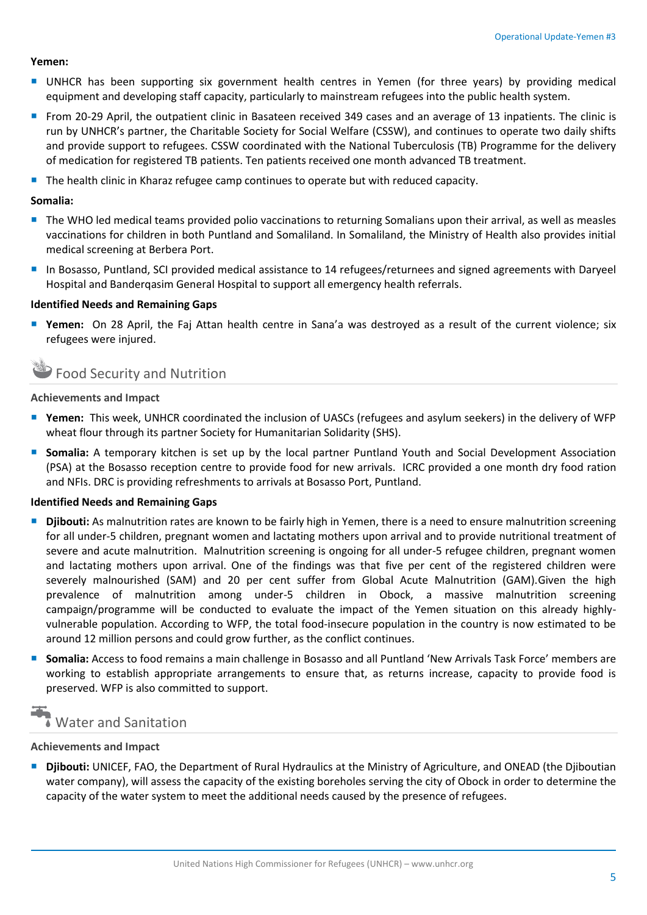#### **Yemen:**

- UNHCR has been supporting six government health centres in Yemen (for three years) by providing medical equipment and developing staff capacity, particularly to mainstream refugees into the public health system.
- **From 20-29 April, the outpatient clinic in Basateen received 349 cases and an average of 13 inpatients. The clinic is** run by UNHCR's partner, the Charitable Society for Social Welfare (CSSW), and continues to operate two daily shifts and provide support to refugees. CSSW coordinated with the National Tuberculosis (TB) Programme for the delivery of medication for registered TB patients. Ten patients received one month advanced TB treatment.
- **The health clinic in Kharaz refugee camp continues to operate but with reduced capacity.**

#### **Somalia:**

- The WHO led medical teams provided polio vaccinations to returning Somalians upon their arrival, as well as measles vaccinations for children in both Puntland and Somaliland. In Somaliland, the Ministry of Health also provides initial medical screening at Berbera Port.
- In Bosasso, Puntland, SCI provided medical assistance to 14 refugees/returnees and signed agreements with Daryeel Hospital and Banderqasim General Hospital to support all emergency health referrals.

#### **Identified Needs and Remaining Gaps**

 **Yemen:** On 28 April, the Faj Attan health centre in Sana'a was destroyed as a result of the current violence; six refugees were injured.

### Food Security and Nutrition

#### **Achievements and Impact**

- **Yemen:** This week, UNHCR coordinated the inclusion of UASCs (refugees and asylum seekers) in the delivery of WFP wheat flour through its partner Society for Humanitarian Solidarity (SHS).
- **Somalia:** A temporary kitchen is set up by the local partner Puntland Youth and Social Development Association (PSA) at the Bosasso reception centre to provide food for new arrivals. ICRC provided a one month dry food ration and NFIs. DRC is providing refreshments to arrivals at Bosasso Port, Puntland.

#### **Identified Needs and Remaining Gaps**

- **Djibouti:** As malnutrition rates are known to be fairly high in Yemen, there is a need to ensure malnutrition screening for all under-5 children, pregnant women and lactating mothers upon arrival and to provide nutritional treatment of severe and acute malnutrition. Malnutrition screening is ongoing for all under-5 refugee children, pregnant women and lactating mothers upon arrival. One of the findings was that five per cent of the registered children were severely malnourished (SAM) and 20 per cent suffer from Global Acute Malnutrition (GAM).Given the high prevalence of malnutrition among under-5 children in Obock, a massive malnutrition screening campaign/programme will be conducted to evaluate the impact of the Yemen situation on this already highlyvulnerable population. According to WFP, the total food-insecure population in the country is now estimated to be around 12 million persons and could grow further, as the conflict continues.
- **Somalia:** Access to food remains a main challenge in Bosasso and all Puntland 'New Arrivals Task Force' members are working to establish appropriate arrangements to ensure that, as returns increase, capacity to provide food is preserved. WFP is also committed to support.

## Water and Sanitation

#### **Achievements and Impact**

 **Djibouti:** UNICEF, FAO, the Department of Rural Hydraulics at the Ministry of Agriculture, and ONEAD (the Djiboutian water company), will assess the capacity of the existing boreholes serving the city of Obock in order to determine the capacity of the water system to meet the additional needs caused by the presence of refugees.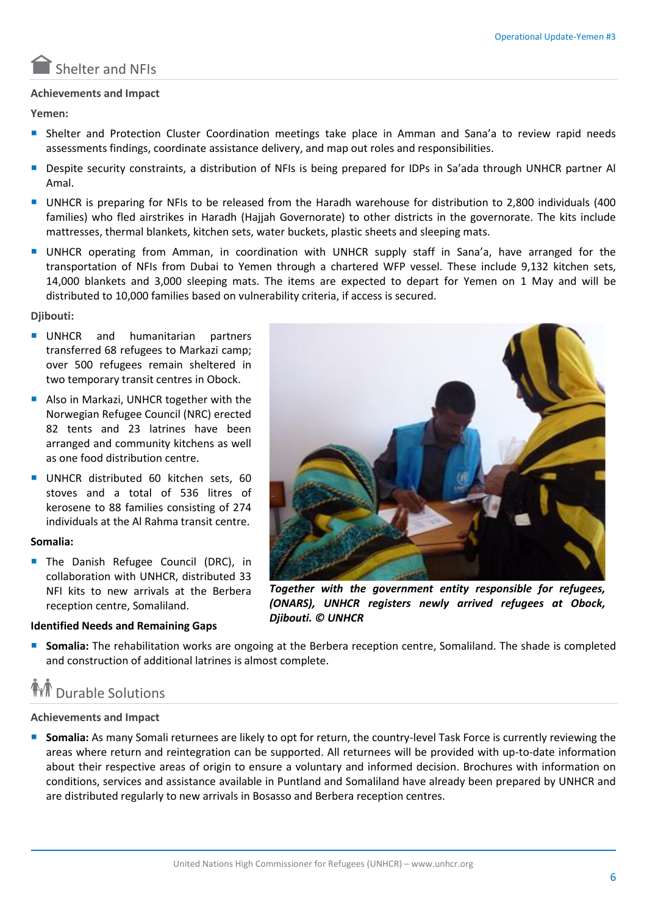

#### **Achievements and Impact**

**Yemen:**

- **Shelter and Protection Cluster Coordination meetings take place in Amman and Sana'a to review rapid needs** assessments findings, coordinate assistance delivery, and map out roles and responsibilities.
- Despite security constraints, a distribution of NFIs is being prepared for IDPs in Sa'ada through UNHCR partner Al Amal.
- UNHCR is preparing for NFIs to be released from the Haradh warehouse for distribution to 2,800 individuals (400 families) who fled airstrikes in Haradh (Hajjah Governorate) to other districts in the governorate. The kits include mattresses, thermal blankets, kitchen sets, water buckets, plastic sheets and sleeping mats.
- UNHCR operating from Amman, in coordination with UNHCR supply staff in Sana'a, have arranged for the transportation of NFIs from Dubai to Yemen through a chartered WFP vessel. These include 9,132 kitchen sets, 14,000 blankets and 3,000 sleeping mats. The items are expected to depart for Yemen on 1 May and will be distributed to 10,000 families based on vulnerability criteria, if access is secured.

**Djibouti:**

- UNHCR and humanitarian partners transferred 68 refugees to Markazi camp; over 500 refugees remain sheltered in two temporary transit centres in Obock.
- Also in Markazi, UNHCR together with the Norwegian Refugee Council (NRC) erected 82 tents and 23 latrines have been arranged and community kitchens as well as one food distribution centre.
- UNHCR distributed 60 kitchen sets, 60 stoves and a total of 536 litres of kerosene to 88 families consisting of 274 individuals at the Al Rahma transit centre.

#### **Somalia:**

**The Danish Refugee Council (DRC), in** collaboration with UNHCR, distributed 33 NFI kits to new arrivals at the Berbera reception centre, Somaliland.

#### **Identified Needs and Remaining Gaps**

*Together with the government entity responsible for refugees, (ONARS), UNHCR registers newly arrived refugees at Obock, Djibouti. © UNHCR*

**Somalia:** The rehabilitation works are ongoing at the Berbera reception centre, Somaliland. The shade is completed and construction of additional latrines is almost complete.

## **M** Durable Solutions

#### **Achievements and Impact**

**Somalia:** As many Somali returnees are likely to opt for return, the country-level Task Force is currently reviewing the areas where return and reintegration can be supported. All returnees will be provided with up-to-date information about their respective areas of origin to ensure a voluntary and informed decision. Brochures with information on conditions, services and assistance available in Puntland and Somaliland have already been prepared by UNHCR and are distributed regularly to new arrivals in Bosasso and Berbera reception centres.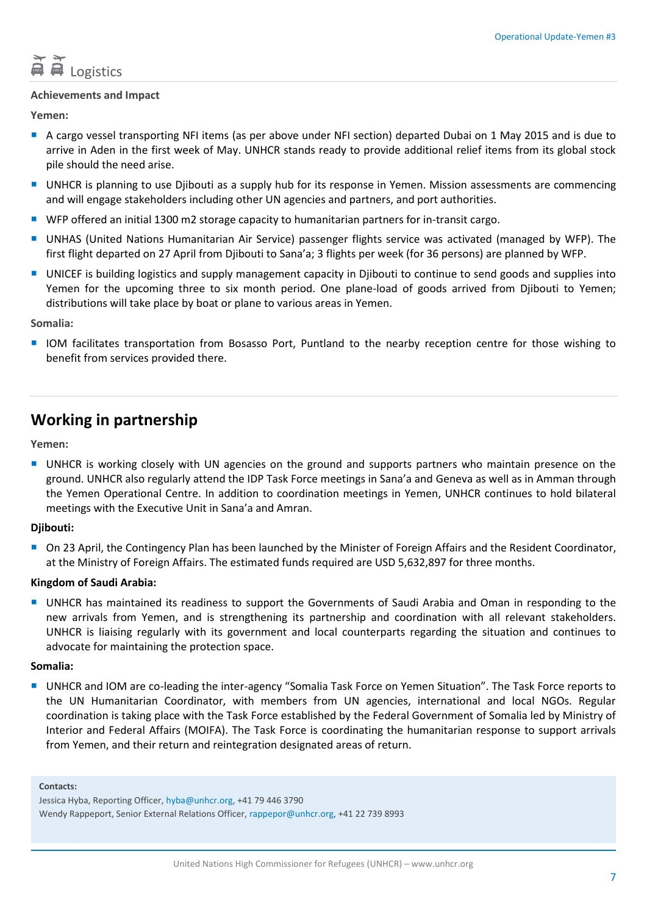# **百百** Logistics

#### **Achievements and Impact**

**Yemen:**

- A cargo vessel transporting NFI items (as per above under NFI section) departed Dubai on 1 May 2015 and is due to arrive in Aden in the first week of May. UNHCR stands ready to provide additional relief items from its global stock pile should the need arise.
- UNHCR is planning to use Djibouti as a supply hub for its response in Yemen. Mission assessments are commencing and will engage stakeholders including other UN agencies and partners, and port authorities.
- WFP offered an initial 1300 m2 storage capacity to humanitarian partners for in-transit cargo.
- UNHAS (United Nations Humanitarian Air Service) passenger flights service was activated (managed by WFP). The first flight departed on 27 April from Djibouti to Sana'a; 3 flights per week (for 36 persons) are planned by WFP.
- **UNICEF** is building logistics and supply management capacity in Djibouti to continue to send goods and supplies into Yemen for the upcoming three to six month period. One plane-load of goods arrived from Djibouti to Yemen; distributions will take place by boat or plane to various areas in Yemen.

**Somalia:** 

 IOM facilitates transportation from Bosasso Port, Puntland to the nearby reception centre for those wishing to benefit from services provided there.

### **Working in partnership**

**Yemen:**

UNHCR is working closely with UN agencies on the ground and supports partners who maintain presence on the ground. UNHCR also regularly attend the IDP Task Force meetings in Sana'a and Geneva as well as in Amman through the Yemen Operational Centre. In addition to coordination meetings in Yemen, UNHCR continues to hold bilateral meetings with the Executive Unit in Sana'a and Amran.

#### **Djibouti:**

On 23 April, the Contingency Plan has been launched by the Minister of Foreign Affairs and the Resident Coordinator, at the Ministry of Foreign Affairs. The estimated funds required are USD 5,632,897 for three months.

#### **Kingdom of Saudi Arabia:**

UNHCR has maintained its readiness to support the Governments of Saudi Arabia and Oman in responding to the new arrivals from Yemen, and is strengthening its partnership and coordination with all relevant stakeholders. UNHCR is liaising regularly with its government and local counterparts regarding the situation and continues to advocate for maintaining the protection space.

#### **Somalia:**

 UNHCR and IOM are co-leading the inter-agency "Somalia Task Force on Yemen Situation". The Task Force reports to the UN Humanitarian Coordinator, with members from UN agencies, international and local NGOs. Regular coordination is taking place with the Task Force established by the Federal Government of Somalia led by Ministry of Interior and Federal Affairs (MOIFA). The Task Force is coordinating the humanitarian response to support arrivals from Yemen, and their return and reintegration designated areas of return.

**Contacts:**

Jessica Hyba, Reporting Officer, hyba@unhcr.org, +41 79 446 3790 Wendy Rappeport, Senior External Relations Officer, rappepor@unhcr.org, +41 22 739 8993